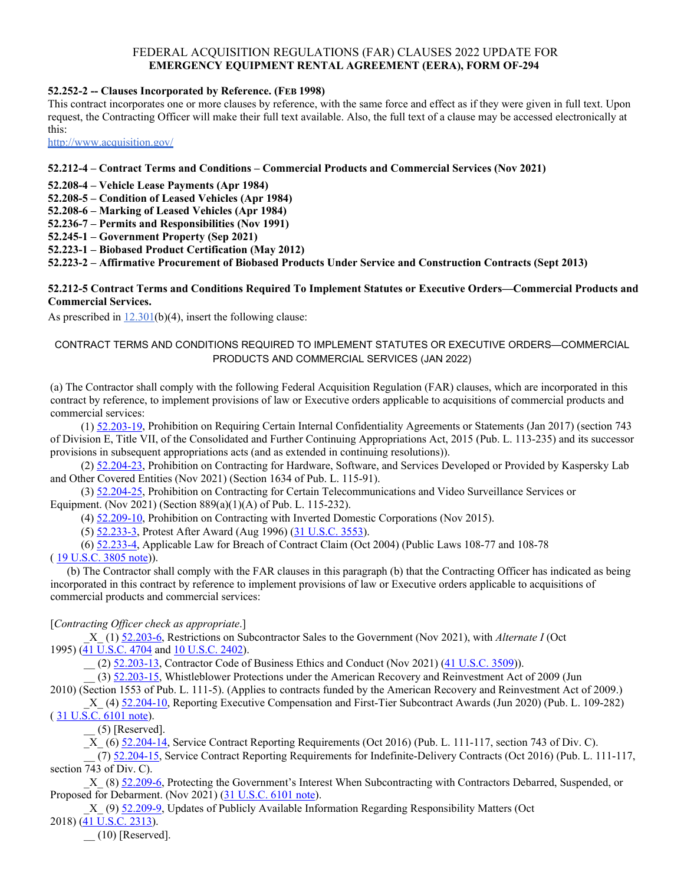# FEDERAL ACQUISITION REGULATIONS (FAR) CLAUSES 2022 UPDATE FOR **EMERGENCY EQUIPMENT RENTAL AGREEMENT (EERA), FORM OF-294**

#### **52.252-2 -- Clauses Incorporated by Reference. (FEB 1998)**

This contract incorporates one or more clauses by reference, with the same force and effect as if they were given in full text. Upon request, the Contracting Officer will make their full text available. Also, the full text of a clause may be accessed electronically at this:

[http://www.acquisition.gov](http://www.arnet.gov/far/)/

### **52.212-4 – Contract Terms and Conditions – Commercial Products and Commercial Services (Nov 2021)**

**52.208-4 – Vehicle Lease Payments (Apr 1984)**

**52.208-5 – Condition of Leased Vehicles (Apr 1984)** 

**52.208-6 – Marking of Leased Vehicles (Apr 1984)** 

**52.236-7 – Permits and Responsibilities (Nov 1991)** 

**52.245-1 – Government Property (Sep 2021)** 

**52.223-1 – Biobased Product Certification (May 2012)**

**52.223-2 – Affirmative Procurement of Biobased Products Under Service and Construction Contracts (Sept 2013)**

#### **52.212-5 Contract Terms and Conditions Required To Implement Statutes or Executive Orders—Commercial Products and Commercial Services.**

As prescribed in  $12.301(b)(4)$ , insert the following clause:

### CONTRACT TERMS AND CONDITIONS REQUIRED TO IMPLEMENT STATUTES OR EXECUTIVE ORDERS—COMMERCIAL PRODUCTS AND COMMERCIAL SERVICES (JAN 2022)

(a) The Contractor shall comply with the following Federal Acquisition Regulation (FAR) clauses, which are incorporated in this contract by reference, to implement provisions of law or Executive orders applicable to acquisitions of commercial products and commercial services:

 (1) [52.203-19,](https://www.acquisition.gov/far/52.203-19#FAR_52_203_19) Prohibition on Requiring Certain Internal Confidentiality Agreements or Statements (Jan 2017) (section 743 of Division E, Title VII, of the Consolidated and Further Continuing Appropriations Act, 2015 (Pub. L. 113-235) and its successor provisions in subsequent appropriations acts (and as extended in continuing resolutions)).

 (2) [52.204-23,](https://www.acquisition.gov/far/52.204-23#FAR_52_204_23) Prohibition on Contracting for Hardware, Software, and Services Developed or Provided by Kaspersky Lab and Other Covered Entities (Nov 2021) (Section 1634 of Pub. L. 115-91).

 (3) [52.204-25,](https://www.acquisition.gov/far/52.204-25#FAR_52_204_25) Prohibition on Contracting for Certain Telecommunications and Video Surveillance Services or Equipment. (Nov 2021) (Section 889(a)(1)(A) of Pub. L. 115-232).

(4) [52.209-10,](https://www.acquisition.gov/far/52.209-10#FAR_52_209_10) Prohibition on Contracting with Inverted Domestic Corporations (Nov 2015).

(5) [52.233-3,](https://www.acquisition.gov/far/52.233-3#FAR_52_233_3) Protest After Award (Aug 1996) (31 [U.S.C.](http://uscode.house.gov/browse.xhtml;jsessionid=114A3287C7B3359E597506A31FC855B3) 3553).

 (6) [52.233-4,](https://www.acquisition.gov/far/52.233-4#FAR_52_233_4) Applicable Law for Breach of Contract Claim (Oct 2004) (Public Laws 108-77 and 108-78 ( 19 [U.S.C.](http://uscode.house.gov/browse.xhtml;jsessionid=114A3287C7B3359E597506A31FC855B3) 3805 note)).

 (b) The Contractor shall comply with the FAR clauses in this paragraph (b) that the Contracting Officer has indicated as being incorporated in this contract by reference to implement provisions of law or Executive orders applicable to acquisitions of commercial products and commercial services:

## [*Contracting Officer check as appropriate*.]

 \_X\_ (1) [52.203-6,](https://www.acquisition.gov/far/52.203-6#FAR_52_203_6) Restrictions on Subcontractor Sales to the Government (Nov 2021), with *Alternate I* (Oct 1995) (41 [U.S.C.](http://uscode.house.gov/browse.xhtml;jsessionid=114A3287C7B3359E597506A31FC855B3) 4704 and 10 U.S.C. 2402).

\_\_ (2) [52.203-13,](https://www.acquisition.gov/far/52.203-13#FAR_52_203_13) Contractor Code of Business Ethics and Conduct (Nov 2021) (41 [U.S.C.](http://uscode.house.gov/browse.xhtml;jsessionid=114A3287C7B3359E597506A31FC855B3) 3509)).

(3) [52.203-15,](https://www.acquisition.gov/far/52.203-15#FAR_52_203_15) Whistleblower Protections under the American Recovery and Reinvestment Act of 2009 (Jun

2010) (Section 1553 of Pub. L. 111-5). (Applies to contracts funded by the American Recovery and Reinvestment Act of 2009.)

X<sub>\_</sub> (4)  $\frac{52.204-10}{52.204-10}$ , Reporting Executive Compensation and First-Tier Subcontract Awards (Jun 2020) (Pub. L. 109-282)  $(31 \text{ U.S. C. } 6101 \text{ note}).$ 

 $(5)$  [Reserved].

\_X\_ (6) [52.204-14,](https://www.acquisition.gov/far/52.204-14#FAR_52_204_14) Service Contract Reporting Requirements (Oct 2016) (Pub. L. 111-117, section 743 of Div. C).

 $(7)$  [52.204-15,](https://www.acquisition.gov/far/52.204-15#FAR_52_204_15) Service Contract Reporting Requirements for Indefinite-Delivery Contracts (Oct 2016) (Pub. L. 111-117, section 743 of Div. C).

 \_X\_ (8) [52.209-6,](https://www.acquisition.gov/far/52.209-6#FAR_52_209_6) Protecting the Government's Interest When Subcontracting with Contractors Debarred, Suspended, or Proposed for Debarment. (Nov 2021) (31 [U.S.C.](http://uscode.house.gov/view.xhtml?req=granuleid:USC-prelim-title31-section6101&num=0&edition=prelim) 6101 note).

\_X\_ (9) [52.209-9,](https://www.acquisition.gov/far/52.209-9#FAR_52_209_9) Updates of Publicly Available Information Regarding Responsibility Matters (Oct

2018) (41 [U.S.C.](http://uscode.house.gov/view.xhtml?req=granuleid:USC-prelim-title41-section2313&num=0&edition=prelim) 2313).

 $(10)$  [Reserved].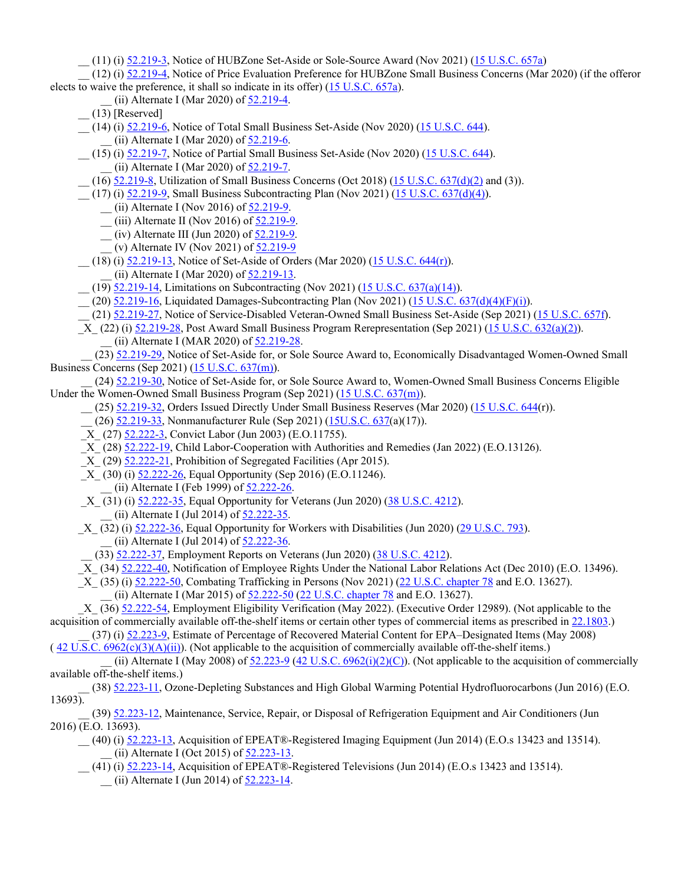\_\_ (11) (i) [52.219-3,](https://www.acquisition.gov/far/52.219-3#FAR_52_219_3) Notice of HUBZone Set-Aside or Sole-Source Award (Nov 2021) (15 [U.S.C.](http://uscode.house.gov/view.xhtml?req=granuleid:USC-prelim-title15-section637a&num=0&edition=prelim) 657a)

 \_\_ (12) (i) [52.219-4,](https://www.acquisition.gov/far/52.219-4#FAR_52_219_4) Notice of Price Evaluation Preference for HUBZone Small Business Concerns (Mar 2020) (if the offeror elects to waive the preference, it shall so indicate in its offer)  $(15 \text{ U.S.C. } 657a)$  $(15 \text{ U.S.C. } 657a)$  $(15 \text{ U.S.C. } 657a)$ .

- $(iii)$  Alternate I (Mar 2020) of  $52.219-4$ .
- $(13)$  [Reserved]
- (14) (i) [52.219-6,](https://www.acquisition.gov/far/52.219-6#FAR_52_219_6) Notice of Total Small Business Set-Aside (Nov 2020) (15 [U.S.C.](http://uscode.house.gov/browse.xhtml;jsessionid=114A3287C7B3359E597506A31FC855B3) 644). (ii) Alternate I (Mar 2020) of  $52.219-6$ .
- \_\_ (15) (i) [52.219-7,](https://www.acquisition.gov/far/52.219-7#FAR_52_219_7) Notice of Partial Small Business Set-Aside (Nov 2020) (15 [U.S.C.](http://uscode.house.gov/browse.xhtml;jsessionid=114A3287C7B3359E597506A31FC855B3) 644).
	- \_\_ (ii) Alternate I (Mar 2020) of [52.219-7.](https://www.acquisition.gov/far/52.219-7#FAR_52_219_7)
- $(16)$  [52.219-8,](https://www.acquisition.gov/far/52.219-8#FAR_52_219_8) Utilization of Small Business Concerns (Oct 2018) (15 U.S.C. [637\(d\)\(2\)](http://uscode.house.gov/browse.xhtml;jsessionid=114A3287C7B3359E597506A31FC855B3) and (3)).
- (17) (i) [52.219-9,](https://www.acquisition.gov/far/52.219-9#FAR_52_219_9) Small Business Subcontracting Plan (Nov 2021) (15 U.S.C. [637\(d\)\(4\)\)](http://uscode.house.gov/browse.xhtml;jsessionid=114A3287C7B3359E597506A31FC855B3).
	- \_\_ (ii) Alternate I (Nov 2016) of [52.219-9.](https://www.acquisition.gov/far/52.219-9#FAR_52_219_9)
	- $\frac{1}{2}$  (iii) Alternate II (Nov 2016) of  $\frac{52.219-9}{2}$ .
	- $(iv)$  Alternate III (Jun 2020) of  $\frac{52.219-9}{52.219-9}$ .
	- (v) Alternate IV (Nov 2021) of  $52.219-9$
- (18) (i) [52.219-13,](https://www.acquisition.gov/far/52.219-13#FAR_52_219_13) Notice of Set-Aside of Orders (Mar 2020) (15 U.S.C. [644\(r\)\)](http://uscode.house.gov/browse.xhtml;jsessionid=114A3287C7B3359E597506A31FC855B3).
	- \_\_ (ii) Alternate I (Mar 2020) of [52.219-13.](https://www.acquisition.gov/far/52.219-13#FAR_52_219_13)
- \_ (19) <u>52.219-14</u>, Limitations on Subcontracting (Nov 2021) (15 U.S.C. [637\(a\)\(14\)\)](http://uscode.house.gov/browse.xhtml;jsessionid=114A3287C7B3359E597506A31FC855B3).
- \_\_ (20) [52.219-16,](https://www.acquisition.gov/far/52.219-16#FAR_52_219_16) Liquidated Damages-Subcontracting Plan (Nov 2021) (15 U.S.C. [637\(d\)\(4\)\(F\)\(i\)\)](http://uscode.house.gov/browse.xhtml;jsessionid=114A3287C7B3359E597506A31FC855B3).
- \_\_ (21) [52.219-27,](https://www.acquisition.gov/far/52.219-27#FAR_52_219_27) Notice of Service-Disabled Veteran-Owned Small Business Set-Aside (Sep 2021) (15 [U.S.C.](http://uscode.house.gov/browse.xhtml;jsessionid=114A3287C7B3359E597506A31FC855B3) 657f).
- \_X\_ (22) (i) [52.219-28,](https://www.acquisition.gov/far/52.219-28#FAR_52_219_28) Post Award Small Business Program Rerepresentation (Sep 2021) (15 U.S.C. [632\(a\)\(2\)\)](http://uscode.house.gov/browse.xhtml;jsessionid=114A3287C7B3359E597506A31FC855B3). (ii) Alternate I (MAR 2020) of [52.219-28.](https://www.acquisition.gov/far/52.219-28#FAR_52_219_28)
- (23) [52.219-29,](https://www.acquisition.gov/far/52.219-29#FAR_52_219_29) Notice of Set-Aside for, or Sole Source Award to, Economically Disadvantaged Women-Owned Small Business Concerns (Sep 2021) (15 U.S.C. [637\(m\)\)](http://uscode.house.gov/browse.xhtml;jsessionid=114A3287C7B3359E597506A31FC855B3).
- (24) [52.219-30,](https://www.acquisition.gov/far/52.219-30#FAR_52_219_30) Notice of Set-Aside for, or Sole Source Award to, Women-Owned Small Business Concerns Eligible Under the Women-Owned Small Business Program (Sep 2021) (15 U.S.C. [637\(m\)\)](http://uscode.house.gov/browse.xhtml;jsessionid=114A3287C7B3359E597506A31FC855B3).
	- (25) [52.219-32,](https://www.acquisition.gov/far/52.219-32#FAR_52_219_32) Orders Issued Directly Under Small Business Reserves (Mar 2020) (15 [U.S.C.](https://www.govinfo.gov/content/pkg/USCODE-2018-title15/html/USCODE-2018-title15-chap14A-sec644.htm) 644(r)).
	- \_\_ (26) [52.219-33,](https://www.acquisition.gov/far/52.219-33#FAR_52_219_33) Nonmanufacturer Rule (Sep 2021) [\(15U.S.C. 637\(](https://www.govinfo.gov/content/pkg/USCODE-2018-title15/html/USCODE-2018-title15-chap14A-sec637.htm)a)(17)).
	- X (27) [52.222-3,](https://www.acquisition.gov/far/52.222-3#FAR_52_222_3) Convict Labor (Jun 2003) (E.O.11755).
	- \_X\_ (28) [52.222-19,](https://www.acquisition.gov/far/52.222-19#FAR_52_222_19) Child Labor-Cooperation with Authorities and Remedies (Jan 2022) (E.O.13126).
	- $X$  (29)  $52.222-21$ , Prohibition of Segregated Facilities (Apr 2015).
	- X (30) (i)  $\frac{52.222-26}{20}$ , Equal Opportunity (Sep 2016) (E.O.11246).

 $(i)$  Alternate I (Feb 1999) of  $52.222-26$ .

- X (31) (i) [52.222-35,](https://www.acquisition.gov/far/52.222-35#FAR_52_222_35) Equal Opportunity for Veterans (Jun 2020) (38 [U.S.C.](http://uscode.house.gov/view.xhtml?req=granuleid:USC-prelim-title38-section4212&num=0&edition=prelim) 4212).  $(iii)$  Alternate I (Jul 2014) of  $52.222-35$ .
- X (32) (i) [52.222-36,](https://www.acquisition.gov/far/52.222-36#FAR_52_222_36) Equal Opportunity for Workers with Disabilities (Jun 2020) (29 [U.S.C.](http://uscode.house.gov/view.xhtml?req=granuleid:USC-prelim-title29-section793&num=0&edition=prelim) 793). (ii) Alternate I (Jul 2014) of  $52.222-36$ .
	- \_\_ (33) [52.222-37,](https://www.acquisition.gov/far/52.222-37#FAR_52_222_37) Employment Reports on Veterans (Jun 2020) (38 [U.S.C.](http://uscode.house.gov/view.xhtml?req=granuleid:USC-prelim-title38-section4212&num=0&edition=prelim) 4212).
- \_X\_ (34) [52.222-40,](https://www.acquisition.gov/far/52.222-40#FAR_52_222_40) Notification of Employee Rights Under the National Labor Relations Act (Dec 2010) (E.O. 13496).
- X (35) (i) [52.222-50,](https://www.acquisition.gov/far/52.222-50#FAR_52_222_50) Combating Trafficking in Persons (Nov 2021) (22 U.S.C. [chapter](http://uscode.house.gov/browse.xhtml;jsessionid=114A3287C7B3359E597506A31FC855B3) 78 and E.O. 13627). (ii) Alternate I (Mar 2015) of  $52.222-50$  (22 U.S.C. [chapter](http://uscode.house.gov/browse.xhtml;jsessionid=114A3287C7B3359E597506A31FC855B3) 78 and E.O. 13627).

 \_X\_ (36) [52.222-54,](https://www.acquisition.gov/far/52.222-54#FAR_52_222_54) Employment Eligibility Verification (May 2022). (Executive Order 12989). (Not applicable to the acquisition of commercially available off-the-shelf items or certain other types of commercial items as prescribed in [22.1803.](https://www.acquisition.gov/far/22.1803#FAR_22_1803))

 \_\_ (37) (i) [52.223-9,](https://www.acquisition.gov/far/52.223-9#FAR_52_223_9) Estimate of Percentage of Recovered Material Content for EPA–Designated Items (May 2008) (42 U.S.C. [6962\(c\)\(3\)\(A\)\(ii\)\)](http://uscode.house.gov/browse.xhtml;jsessionid=114A3287C7B3359E597506A31FC855B3). (Not applicable to the acquisition of commercially available off-the-shelf items.)

(ii) Alternate I (May 2008) of  $52.223-9$  (42 U.S.C. [6962\(i\)\(2\)\(C\)\)](http://uscode.house.gov/browse.xhtml;jsessionid=114A3287C7B3359E597506A31FC855B3). (Not applicable to the acquisition of commercially available off-the-shelf items.)

(38) [52.223-11,](https://www.acquisition.gov/far/52.223-11#FAR_52_223_11) Ozone-Depleting Substances and High Global Warming Potential Hydrofluorocarbons (Jun 2016) (E.O.  $13693$ ).

(39) [52.223-12,](https://www.acquisition.gov/far/52.223-12#FAR_52_223_12) Maintenance, Service, Repair, or Disposal of Refrigeration Equipment and Air Conditioners (Jun 2016) (E.O. 13693).

- \_\_ (40) (i) [52.223-13,](https://www.acquisition.gov/far/52.223-13#FAR_52_223_13) Acquisition of EPEAT®-Registered Imaging Equipment (Jun 2014) (E.O.s 13423 and 13514). (ii) Alternate I (Oct 2015) of  $\frac{52.223-13.1}{2}$  $\frac{52.223-13.1}{2}$  $\frac{52.223-13.1}{2}$ .
- \_\_ (41) (i) [52.223-14,](https://www.acquisition.gov/far/52.223-14#FAR_52_223_14) Acquisition of EPEAT®-Registered Televisions (Jun 2014) (E.O.s 13423 and 13514). (ii) Alternate I (Jun 2014) of  $\frac{52.223-14}{52.223-14}$ .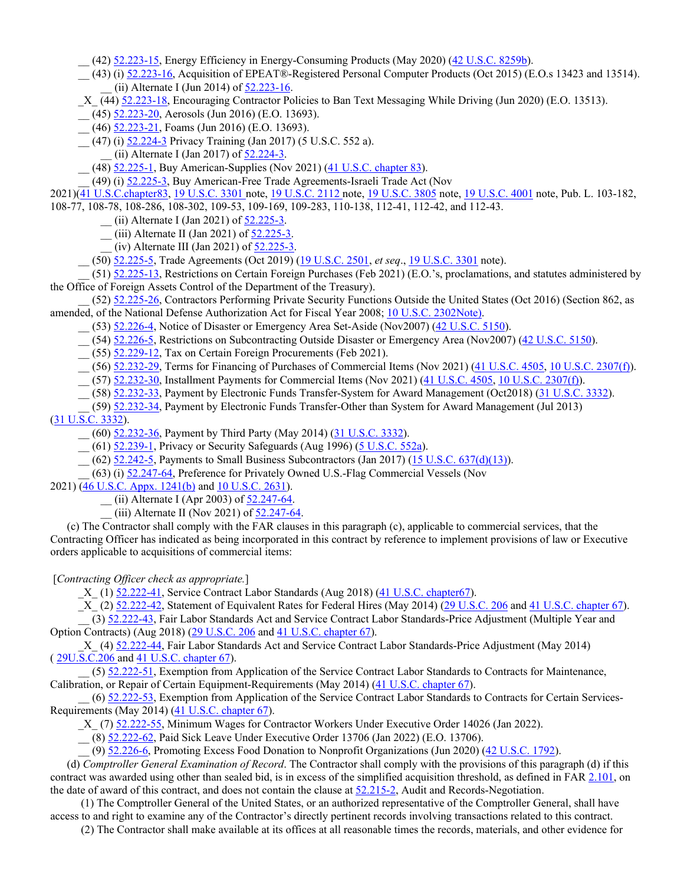$(42)$   $52.223-15$ , Energy Efficiency in Energy-Consuming Products (May 2020)  $(42 \text{ U.S.C. } 8259b)$  $(42 \text{ U.S.C. } 8259b)$ .

 \_\_ (43) (i) [52.223-16,](https://www.acquisition.gov/far/52.223-16#FAR_52_223_16) Acquisition of EPEAT®-Registered Personal Computer Products (Oct 2015) (E.O.s 13423 and 13514). (ii) Alternate I (Jun 2014) of  $52.223-16$ .

\_X\_ (44) [52.223-18,](https://www.acquisition.gov/far/52.223-18#FAR_52_223_18) Encouraging Contractor Policies to Ban Text Messaging While Driving (Jun 2020) (E.O. 13513).

\_\_ (45) [52.223-20,](https://www.acquisition.gov/far/52.223-20#FAR_52_223_20) Aerosols (Jun 2016) (E.O. 13693).

 $(46)$   $\frac{52.223-21}{21}$ , Foams (Jun 2016) (E.O. 13693).

\_\_ (47) (i) [52.224-3](https://www.acquisition.gov/far/52.224-3#FAR_52_224_3) Privacy Training (Jan 2017) (5 U.S.C. 552 a).

(ii) Alternate I (Jan 2017) of  $\overline{52.224-3}$ .

\_\_ (48) [52.225-1,](https://www.acquisition.gov/far/52.225-1#FAR_52_225_1) Buy American-Supplies (Nov 2021) (41 U.S.C. [chapter](http://uscode.house.gov/browse.xhtml;jsessionid=114A3287C7B3359E597506A31FC855B3) 83).

(49) (i) [52.225-3,](https://www.acquisition.gov/far/52.225-3#FAR_52_225_3) Buy American-Free Trade Agreements-Israeli Trade Act (Nov

2021)(41 [U.S.C.chapter83,](http://uscode.house.gov/browse.xhtml;jsessionid=114A3287C7B3359E597506A31FC855B3) 19 [U.S.C.](http://uscode.house.gov/browse.xhtml;jsessionid=114A3287C7B3359E597506A31FC855B3) 3301 note, 19 [U.S.C.](http://uscode.house.gov/browse.xhtml;jsessionid=114A3287C7B3359E597506A31FC855B3) 2112 note, 19 [U.S.C.](http://uscode.house.gov/browse.xhtml;jsessionid=114A3287C7B3359E597506A31FC855B3) 3805 note, 19 [U.S.C.](http://uscode.house.gov/browse.xhtml;jsessionid=114A3287C7B3359E597506A31FC855B3) 4001 note, Pub. L. 103-182, 108-77, 108-78, 108-286, 108-302, 109-53, 109-169, 109-283, 110-138, 112-41, 112-42, and 112-43.

\_\_ (ii) Alternate I (Jan 2021) of [52.225-3.](https://www.acquisition.gov/far/52.225-3#FAR_52_225_3) 

\_\_ (iii) Alternate II (Jan 2021) of [52.225-3.](https://www.acquisition.gov/far/52.225-3#FAR_52_225_3)

 $_{\text{1}}$  (iv) Alternate III (Jan 2021) of  $\frac{52.225}{3}$ .

\_\_ (50) [52.225-5,](https://www.acquisition.gov/far/52.225-5#FAR_52_225_5) Trade Agreements (Oct 2019) (19 [U.S.C.](http://uscode.house.gov/view.xhtml?req=granuleid:USC-prelim-title19-section2501&num=0&edition=prelim) 2501, *et seq*., 19 [U.S.C.](http://uscode.house.gov/view.xhtml?req=granuleid:USC-prelim-title19-section3301&num=0&edition=prelim) 3301 note).

 \_\_ (51) [52.225-13,](https://www.acquisition.gov/far/52.225-13#FAR_52_225_13) Restrictions on Certain Foreign Purchases (Feb 2021) (E.O.'s, proclamations, and statutes administered by the Office of Foreign Assets Control of the Department of the Treasury).

 \_\_ (52) [52.225-26,](https://www.acquisition.gov/far/52.225-26#FAR_52_225_26) Contractors Performing Private Security Functions Outside the United States (Oct 2016) (Section 862, as amended, of the National Defense Authorization Act for Fiscal Year 2008; 10 U.S.C. 2302Note).

 $(53)$   $\underline{52.226-4}$ , Notice of Disaster or Emergency Area Set-Aside (Nov2007) ( $\underline{42 \text{ U.S.C. } 5150}$  $\underline{42 \text{ U.S.C. } 5150}$  $\underline{42 \text{ U.S.C. } 5150}$ ).

\_\_ (54) [52.226-5,](https://www.acquisition.gov/far/52.226-5#FAR_52_226_5) Restrictions on Subcontracting Outside Disaster or Emergency Area (Nov2007) (42 [U.S.C.](http://uscode.house.gov/browse.xhtml;jsessionid=114A3287C7B3359E597506A31FC855B3) 5150).

\_\_ (55) [52.229-12,](https://www.acquisition.gov/far/52.229-12#FAR_52_229_12) Tax on Certain Foreign Procurements (Feb 2021).

\_\_ (56) [52.232-29,](https://www.acquisition.gov/far/52.232-29#FAR_52_232_29) Terms for Financing of Purchases of Commercial Items (Nov 2021) (41 [U.S.C.](http://uscode.house.gov/browse.xhtml;jsessionid=114A3287C7B3359E597506A31FC855B3) 4505, 10 U.S.C. [2307\(f\)\)](http://uscode.house.gov/browse.xhtml;jsessionid=114A3287C7B3359E597506A31FC855B3).

\_\_ (57) [52.232-30,](https://www.acquisition.gov/far/52.232-30#FAR_52_232_30) Installment Payments for Commercial Items (Nov 2021) (41 [U.S.C.](http://uscode.house.gov/browse.xhtml;jsessionid=114A3287C7B3359E597506A31FC855B3) 4505, 10 U.S.C. [2307\(f\)\)](http://uscode.house.gov/browse.xhtml;jsessionid=114A3287C7B3359E597506A31FC855B3).

\_\_ (58) [52.232-33,](https://www.acquisition.gov/far/52.232-33#FAR_52_232_33) Payment by Electronic Funds Transfer-System for Award Management (Oct2018) (31 [U.S.C.](http://uscode.house.gov/view.xhtml?req=granuleid:USC-prelim-title31-section3332&num=0&edition=prelim) 3332).

 \_\_ (59) [52.232-34,](https://www.acquisition.gov/far/52.232-34#FAR_52_232_34) Payment by Electronic Funds Transfer-Other than System for Award Management (Jul 2013)  $(31 \text{ U}.\overline{\text{S}.\text{C}}. 3332)$ .

(60) [52.232-36,](https://www.acquisition.gov/far/52.232-36#FAR_52_232_36) Payment by Third Party (May 2014) (31 [U.S.C.](http://uscode.house.gov/browse.xhtml;jsessionid=114A3287C7B3359E597506A31FC855B3) 3332).

(61) [52.239-1,](https://www.acquisition.gov/far/52.239-1#FAR_52_239_1) Privacy or Security Safeguards (Aug 1996) [\(5 U.S.C.](http://uscode.house.gov/view.xhtml?req=granuleid:USC-prelim-title5-section552a&num=0&edition=prelim) 552a).

(62) [52.242-5,](https://www.acquisition.gov/far/52.242-5#FAR_52_242_5) Payments to Small Business Subcontractors (Jan 2017) (15 U.S.C. [637\(d\)\(13\)\)](http://uscode.house.gov/browse.xhtml;jsessionid=114A3287C7B3359E597506A31FC855B3).

 $(63)$  (i)  $52.247-64$ , Preference for Privately Owned U.S.-Flag Commercial Vessels (Nov

2021) (46 U.S.C. Appx. [1241\(b\)](http://uscode.house.gov/browse.xhtml;jsessionid=114A3287C7B3359E597506A31FC855B3) and 10 [U.S.C.](http://uscode.house.gov/browse.xhtml;jsessionid=114A3287C7B3359E597506A31FC855B3) 2631).

\_\_ (ii) Alternate I (Apr 2003) of [52.247-64.](https://www.acquisition.gov/far/52.247-64#FAR_52_247_64)

 $(iii)$  Alternate II (Nov 2021) of  $52.247-64$ .

 (c) The Contractor shall comply with the FAR clauses in this paragraph (c), applicable to commercial services, that the Contracting Officer has indicated as being incorporated in this contract by reference to implement provisions of law or Executive orders applicable to acquisitions of commercial items:

[*Contracting Officer check as appropriate.*]

\_X\_ (1) [52.222-41,](https://www.acquisition.gov/far/52.222-41#FAR_52_222_41) Service Contract Labor Standards (Aug 2018) (41 U.S.C. [chapter67\)](http://uscode.house.gov/browse.xhtml;jsessionid=114A3287C7B3359E597506A31FC855B3).

\_X\_ (2)  $\frac{52.222-42}{52.222-42}$ , Statement of Equivalent Rates for Federal Hires (May 2014) (29 [U.S.C.](http://uscode.house.gov/browse.xhtml;jsessionid=114A3287C7B3359E597506A31FC855B3) 206 and 41 U.S.C. [chapter](http://uscode.house.gov/browse.xhtml;jsessionid=114A3287C7B3359E597506A31FC855B3) 67).

 \_\_ (3) [52.222-43,](https://www.acquisition.gov/far/52.222-43#FAR_52_222_43) Fair Labor Standards Act and Service Contract Labor Standards-Price Adjustment (Multiple Year and Option Contracts) (Aug 2018) (29 [U.S.C.](http://uscode.house.gov/browse.xhtml;jsessionid=114A3287C7B3359E597506A31FC855B3) 206 and 41 U.S.C. [chapter](http://uscode.house.gov/browse.xhtml;jsessionid=114A3287C7B3359E597506A31FC855B3) 67).

 \_X\_ (4) [52.222-44,](https://www.acquisition.gov/far/52.222-44#FAR_52_222_44) Fair Labor Standards Act and Service Contract Labor Standards-Price Adjustment (May 2014) ( [29U.S.C.206](http://uscode.house.gov/browse.xhtml;jsessionid=114A3287C7B3359E597506A31FC855B3) and 41 U.S.C. [chapter](http://uscode.house.gov/browse.xhtml;jsessionid=114A3287C7B3359E597506A31FC855B3) 67).

 \_\_ (5) [52.222-51,](https://www.acquisition.gov/far/52.222-51#FAR_52_222_51) Exemption from Application of the Service Contract Labor Standards to Contracts for Maintenance, Calibration, or Repair of Certain Equipment-Requirements (May 2014) (41 U.S.C. [chapter](http://uscode.house.gov/browse.xhtml;jsessionid=114A3287C7B3359E597506A31FC855B3) 67).

 \_\_ (6) [52.222-53,](https://www.acquisition.gov/far/52.222-53#FAR_52_222_53) Exemption from Application of the Service Contract Labor Standards to Contracts for Certain ServicesRequirements (May 2014) (41 U.S.C. [chapter](http://uscode.house.gov/browse.xhtml;jsessionid=114A3287C7B3359E597506A31FC855B3) 67).

X (7) [52.222-55,](https://www.acquisition.gov/far/52.222-55#FAR_52_222_55) Minimum Wages for Contractor Workers Under Executive Order 14026 (Jan 2022).

\_\_ (8) [52.222-62,](https://www.acquisition.gov/far/52.222-62#FAR_52_222_62) Paid Sick Leave Under Executive Order 13706 (Jan 2022) (E.O. 13706).

\_\_ (9) [52.226-6,](https://www.acquisition.gov/far/52.226-6#FAR_52_226_6) Promoting Excess Food Donation to Nonprofit Organizations (Jun 2020) (42 [U.S.C.](http://uscode.house.gov/browse.xhtml;jsessionid=114A3287C7B3359E597506A31FC855B3) 1792).

 (d) *Comptroller General Examination of Record*. The Contractor shall comply with the provisions of this paragraph (d) if this contract was awarded using other than sealed bid, is in excess of the simplified acquisition threshold, as defined in FAR [2.101,](https://www.acquisition.gov/far/2.101#FAR_2_101) on the date of award of this contract, and does not contain the clause at [52.215-2,](https://www.acquisition.gov/far/52.215-2#FAR_52_215_2) Audit and Records-Negotiation.

 (1) The Comptroller General of the United States, or an authorized representative of the Comptroller General, shall have access to and right to examine any of the Contractor's directly pertinent records involving transactions related to this contract.

(2) The Contractor shall make available at its offices at all reasonable times the records, materials, and other evidence for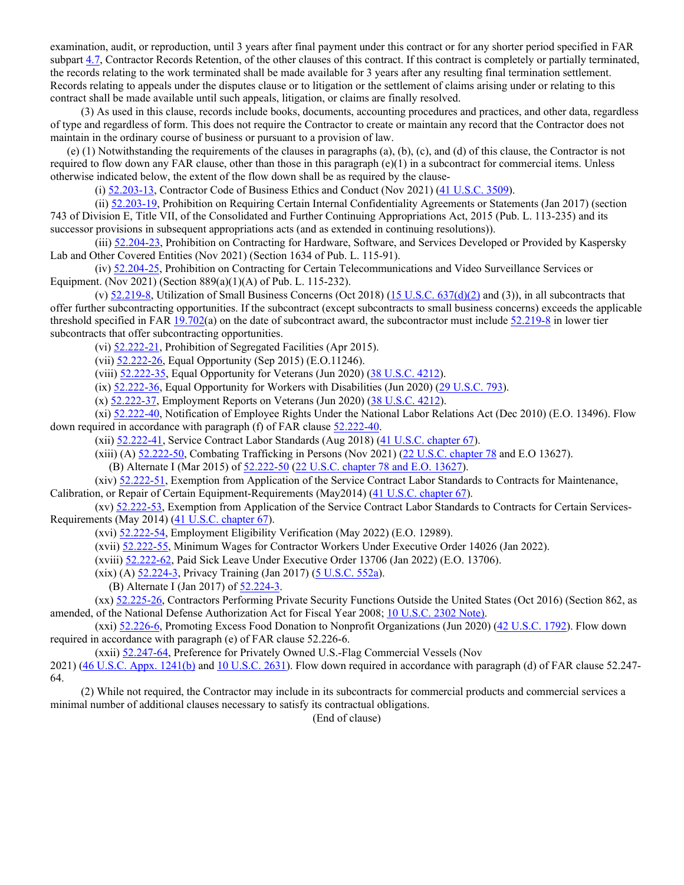examination, audit, or reproduction, until 3 years after final payment under this contract or for any shorter period specified in FAR subpart [4.7,](https://www.acquisition.gov/far/subpart-4.7#FAR_Subpart_4_7) Contractor Records Retention, of the other clauses of this contract. If this contract is completely or partially terminated, the records relating to the work terminated shall be made available for 3 years after any resulting final termination settlement. Records relating to appeals under the disputes clause or to litigation or the settlement of claims arising under or relating to this contract shall be made available until such appeals, litigation, or claims are finally resolved.

 (3) As used in this clause, records include books, documents, accounting procedures and practices, and other data, regardless of type and regardless of form. This does not require the Contractor to create or maintain any record that the Contractor does not maintain in the ordinary course of business or pursuant to a provision of law.

 (e) (1) Notwithstanding the requirements of the clauses in paragraphs (a), (b), (c), and (d) of this clause, the Contractor is not required to flow down any FAR clause, other than those in this paragraph  $(e)(1)$  in a subcontract for commercial items. Unless otherwise indicated below, the extent of the flow down shall be as required by the clause-

(i) [52.203-13,](https://www.acquisition.gov/far/52.203-13#FAR_52_203_13) Contractor Code of Business Ethics and Conduct (Nov 2021) (41 [U.S.C.](http://uscode.house.gov/browse.xhtml;jsessionid=114A3287C7B3359E597506A31FC855B3) 3509).

 (ii) [52.203-19,](https://www.acquisition.gov/far/52.203-19#FAR_52_203_19) Prohibition on Requiring Certain Internal Confidentiality Agreements or Statements (Jan 2017) (section 743 of Division E, Title VII, of the Consolidated and Further Continuing Appropriations Act, 2015 (Pub. L. 113-235) and its successor provisions in subsequent appropriations acts (and as extended in continuing resolutions)).

 (iii) [52.204-23,](https://www.acquisition.gov/far/52.204-23#FAR_52_204_23) Prohibition on Contracting for Hardware, Software, and Services Developed or Provided by Kaspersky Lab and Other Covered Entities (Nov 2021) (Section 1634 of Pub. L. 115-91).

 (iv) [52.204-25,](https://www.acquisition.gov/far/52.204-25#FAR_52_204_25) Prohibition on Contracting for Certain Telecommunications and Video Surveillance Services or Equipment. (Nov 2021) (Section 889(a)(1)(A) of Pub. L. 115-232).

(v)  $52.219-8$ , Utilization of Small Business Concerns (Oct 2018) (15 U.S.C. [637\(d\)\(2\)](http://uscode.house.gov/view.xhtml?req=granuleid:USC-prelim-title15-section637&num=0&edition=prelim) and (3)), in all subcontracts that offer further subcontracting opportunities. If the subcontract (except subcontracts to small business concerns) exceeds the applicable threshold specified in FAR  $19.702(a)$  $19.702(a)$  on the date of subcontract award, the subcontractor must include  $52.219-8$  in lower tier subcontracts that offer subcontracting opportunities.

(vi) [52.222-21,](https://www.acquisition.gov/far/52.222-21#FAR_52_222_21) Prohibition of Segregated Facilities (Apr 2015).

(vii) [52.222-26,](https://www.acquisition.gov/far/52.222-26#FAR_52_222_26) Equal Opportunity (Sep 2015) (E.O.11246).

(viii) [52.222-35,](https://www.acquisition.gov/far/52.222-35#FAR_52_222_35) Equal Opportunity for Veterans (Jun 2020) (38 [U.S.C.](http://uscode.house.gov/browse.xhtml;jsessionid=114A3287C7B3359E597506A31FC855B3) 4212).

 $(ix)$   $\underline{52.222-36}$ , Equal Opportunity for Workers with Disabilities (Jun 2020) (29 [U.S.C.](http://uscode.house.gov/browse.xhtml;jsessionid=114A3287C7B3359E597506A31FC855B3) 793).

(x) [52.222-37,](https://www.acquisition.gov/far/52.222-37#FAR_52_222_37) Employment Reports on Veterans (Jun 2020) (38 [U.S.C.](http://uscode.house.gov/browse.xhtml;jsessionid=114A3287C7B3359E597506A31FC855B3) 4212).

 (xi) [52.222-40,](https://www.acquisition.gov/far/52.222-40#FAR_52_222_40) Notification of Employee Rights Under the National Labor Relations Act (Dec 2010) (E.O. 13496). Flow down required in accordance with paragraph (f) of FAR clause [52.222-40.](https://www.acquisition.gov/far/52.222-40#FAR_52_222_40)

(xii) [52.222-41,](https://www.acquisition.gov/far/52.222-41#FAR_52_222_41) Service Contract Labor Standards (Aug 2018) (41 U.S.C. [chapter](http://uscode.house.gov/view.xhtml?req=granuleid:USC-prelim-title41-chapter67-front&num=0&edition=prelim) 67).

(xiii) (A) [52.222-50,](https://www.acquisition.gov/far/52.222-50#FAR_52_222_50) Combating Trafficking in Persons (Nov 2021) (22 U.S.C. [chapter](http://uscode.house.gov/browse.xhtml;jsessionid=114A3287C7B3359E597506A31FC855B3) 78 and E.O 13627).

(B) Alternate I (Mar 2015) of  $52.222 - 50$  (22 U.S.C. [chapter](http://uscode.house.gov/browse.xhtml;jsessionid=114A3287C7B3359E597506A31FC855B3) 78 and E.O. 13627).

 (xiv) [52.222-51,](https://www.acquisition.gov/far/52.222-51#FAR_52_222_51) Exemption from Application of the Service Contract Labor Standards to Contracts for Maintenance, Calibration, or Repair of Certain Equipment-Requirements (May2014) (41 U.S.C. [chapter](http://uscode.house.gov/browse.xhtml;jsessionid=114A3287C7B3359E597506A31FC855B3) 67).

 (xv) [52.222-53,](https://www.acquisition.gov/far/52.222-53#FAR_52_222_53) Exemption from Application of the Service Contract Labor Standards to Contracts for Certain Services-Requirements (May 2014) (41 U.S.C. [chapter](http://uscode.house.gov/browse.xhtml;jsessionid=114A3287C7B3359E597506A31FC855B3) 67).

(xvi) [52.222-54,](https://www.acquisition.gov/far/52.222-54#FAR_52_222_54) Employment Eligibility Verification (May 2022) (E.O. 12989).

(xvii) [52.222-55,](https://www.acquisition.gov/far/52.222-55#FAR_52_222_55) Minimum Wages for Contractor Workers Under Executive Order 14026 (Jan 2022).

(xviii) [52.222-62,](https://www.acquisition.gov/far/52.222-62#FAR_52_222_62) Paid Sick Leave Under Executive Order 13706 (Jan 2022) (E.O. 13706).

(xix) (A) [52.224-3,](https://www.acquisition.gov/far/52.224-3#FAR_52_224_3) Privacy Training (Jan 2017) [\(5 U.S.C.](http://uscode.house.gov/browse.xhtml;jsessionid=114A3287C7B3359E597506A31FC855B3) 552a).

(B) Alternate I (Jan 2017) of [52.224-3.](https://www.acquisition.gov/far/52.224-3#FAR_52_224_3) 

 (xx) [52.225-26,](https://www.acquisition.gov/far/52.225-26#FAR_52_225_26) Contractors Performing Private Security Functions Outside the United States (Oct 2016) (Section 862, as amended, of the National Defense Authorization Act for Fiscal Year 2008; 10 [U.S.C.](http://uscode.house.gov/browse.xhtml;jsessionid=114A3287C7B3359E597506A31FC855B3) 2302 Note).

 (xxi) [52.226-6,](https://www.acquisition.gov/far/52.226-6#FAR_52_226_6) Promoting Excess Food Donation to Nonprofit Organizations (Jun 2020) (42 [U.S.C.](http://uscode.house.gov/browse.xhtml;jsessionid=114A3287C7B3359E597506A31FC855B3) 1792). Flow down required in accordance with paragraph (e) of FAR clause 52.226-6.

(xxii) [52.247-64,](https://www.acquisition.gov/far/52.247-64#FAR_52_247_64) Preference for Privately Owned U.S.-Flag Commercial Vessels (Nov

2021) (46 U.S.C. Appx. [1241\(b\)](http://uscode.house.gov/browse.xhtml;jsessionid=114A3287C7B3359E597506A31FC855B3) and 10 [U.S.C.](http://uscode.house.gov/browse.xhtml;jsessionid=114A3287C7B3359E597506A31FC855B3) 2631). Flow down required in accordance with paragraph (d) of FAR clause 52.247-64.

 (2) While not required, the Contractor may include in its subcontracts for commercial products and commercial services a minimal number of additional clauses necessary to satisfy its contractual obligations.

(End of clause)